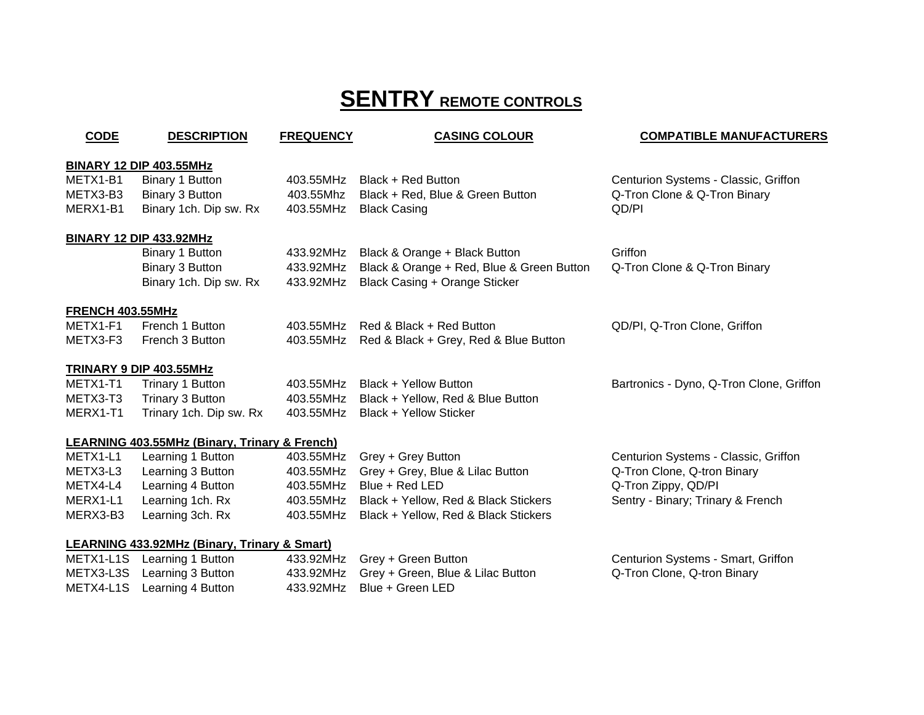# **SENTRY REMOTE CONTROLS**

| <b>CODE</b>             | <b>DESCRIPTION</b>                            | <b>FREQUENCY</b> | <b>CASING COLOUR</b><br><b>COMPATIBLE MANUFACTURERS</b> |                                          |
|-------------------------|-----------------------------------------------|------------------|---------------------------------------------------------|------------------------------------------|
|                         | <b>BINARY 12 DIP 403.55MHz</b>                |                  |                                                         |                                          |
| METX1-B1                | Binary 1 Button                               | 403.55MHz        | Black + Red Button                                      | Centurion Systems - Classic, Griffon     |
| METX3-B3                | Binary 3 Button                               | 403.55Mhz        | Black + Red, Blue & Green Button                        | Q-Tron Clone & Q-Tron Binary             |
| MERX1-B1                | Binary 1ch. Dip sw. Rx                        | 403.55MHz        | <b>Black Casing</b>                                     | QD/PI                                    |
|                         | <u>BINARY 12 DIP 433.92MHz</u>                |                  |                                                         |                                          |
|                         | Binary 1 Button                               | 433.92MHz        | Black & Orange + Black Button                           | Griffon                                  |
|                         | Binary 3 Button                               | 433.92MHz        | Black & Orange + Red, Blue & Green Button               | Q-Tron Clone & Q-Tron Binary             |
|                         | Binary 1ch. Dip sw. Rx                        | 433.92MHz        | Black Casing + Orange Sticker                           |                                          |
| <b>FRENCH 403.55MHz</b> |                                               |                  |                                                         |                                          |
| METX1-F1                | French 1 Button                               | 403.55MHz        | Red & Black + Red Button                                | QD/PI, Q-Tron Clone, Griffon             |
| METX3-F3                | French 3 Button                               | 403.55MHz        | Red & Black + Grey, Red & Blue Button                   |                                          |
|                         | TRINARY 9 DIP 403.55MHz                       |                  |                                                         |                                          |
| METX1-T1                | Trinary 1 Button                              | 403.55MHz        | Black + Yellow Button                                   | Bartronics - Dyno, Q-Tron Clone, Griffon |
| METX3-T3                | Trinary 3 Button                              | 403.55MHz        | Black + Yellow, Red & Blue Button                       |                                          |
| MERX1-T1                | Trinary 1ch. Dip sw. Rx                       | 403.55MHz        | Black + Yellow Sticker                                  |                                          |
|                         | LEARNING 403.55MHz (Binary, Trinary & French) |                  |                                                         |                                          |
| METX1-L1                | Learning 1 Button                             | 403.55MHz        | Grey + Grey Button                                      | Centurion Systems - Classic, Griffon     |
| METX3-L3                | Learning 3 Button                             | 403.55MHz        | Grey + Grey, Blue & Lilac Button                        | Q-Tron Clone, Q-tron Binary              |
| METX4-L4                | Learning 4 Button                             | 403.55MHz        | Blue + Red LED                                          | Q-Tron Zippy, QD/PI                      |
| MERX1-L1                | Learning 1ch. Rx                              | 403.55MHz        | Black + Yellow, Red & Black Stickers                    | Sentry - Binary; Trinary & French        |
| MERX3-B3                | Learning 3ch. Rx                              | 403.55MHz        | Black + Yellow, Red & Black Stickers                    |                                          |
|                         | LEARNING 433.92MHz (Binary, Trinary & Smart)  |                  |                                                         |                                          |
| METX1-L1S               | Learning 1 Button                             | 433.92MHz        | Grey + Green Button                                     | Centurion Systems - Smart, Griffon       |
| METX3-L3S               | Learning 3 Button                             | 433.92MHz        | Grey + Green, Blue & Lilac Button                       | Q-Tron Clone, Q-tron Binary              |

METX4-L1S

Learning 4 Button 433.92MHz Blue + Green LED